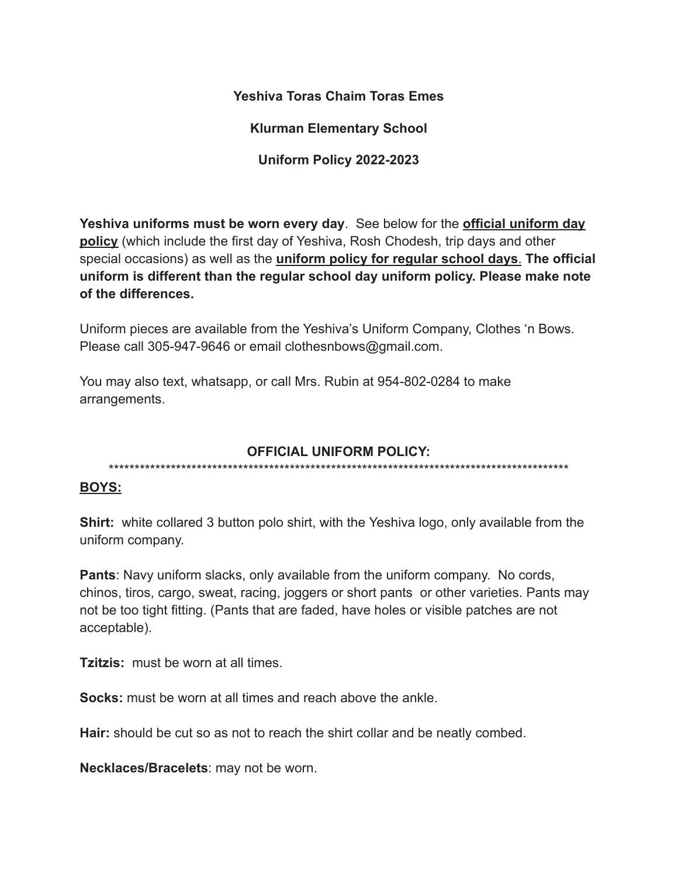## **Yeshiva Toras Chaim Toras Emes**

**Klurman Elementary School**

**Uniform Policy 2022-2023**

**Yeshiva uniforms must be worn every day**. See below for the **official uniform day policy** (which include the first day of Yeshiva, Rosh Chodesh, trip days and other special occasions) as well as the **uniform policy for regular school days**. **The official uniform is different than the regular school day uniform policy. Please make note of the differences.**

Uniform pieces are available from the Yeshiva's Uniform Company, Clothes 'n Bows. Please call 305-947-9646 or email clothesnbows@gmail.com.

You may also text, whatsapp, or call Mrs. Rubin at 954-802-0284 to make arrangements.

#### **OFFICIAL UNIFORM POLICY:**

\*\*\*\*\*\*\*\*\*\*\*\*\*\*\*\*\*\*\*\*\*\*\*\*\*\*\*\*\*\*\*\*\*\*\*\*\*\*\*\*\*\*\*\*\*\*\*\*\*\*\*\*\*\*\*\*\*\*\*\*\*\*\*\*\*\*\*\*\*\*\*\*\*\*\*\*\*\*\*\*\*\*\*\*\*\*\*\*\*

## **BOYS:**

**Shirt:** white collared 3 button polo shirt, with the Yeshiva logo, only available from the uniform company.

**Pants**: Navy uniform slacks, only available from the uniform company. No cords, chinos, tiros, cargo, sweat, racing, joggers or short pants or other varieties. Pants may not be too tight fitting. (Pants that are faded, have holes or visible patches are not acceptable).

**Tzitzis:** must be worn at all times.

**Socks:** must be worn at all times and reach above the ankle.

**Hair:** should be cut so as not to reach the shirt collar and be neatly combed.

**Necklaces/Bracelets**: may not be worn.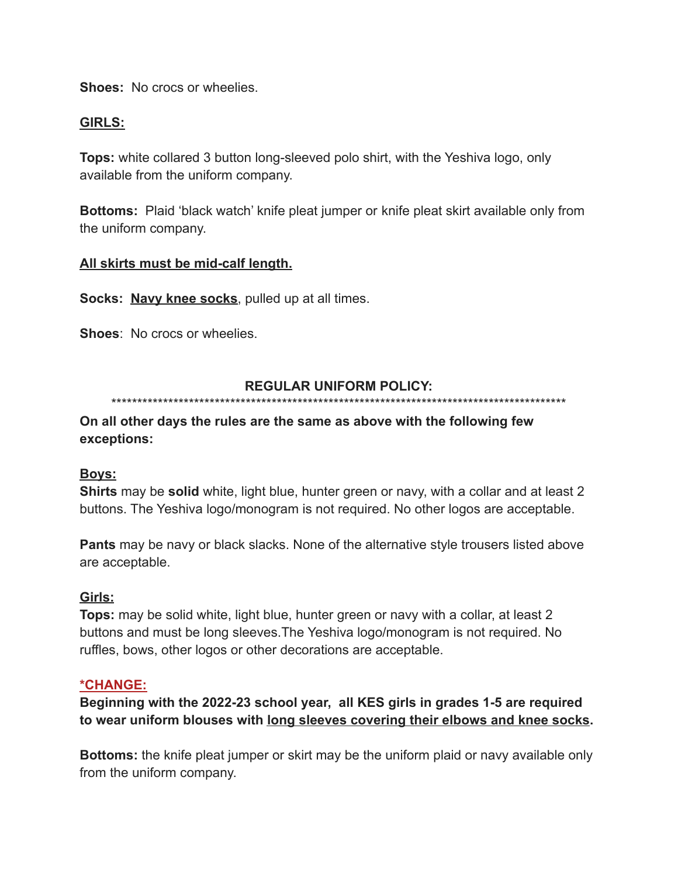**Shoes:** No crocs or wheelies.

#### **GIRLS:**

**Tops:** white collared 3 button long-sleeved polo shirt, with the Yeshiva logo, only available from the uniform company.

**Bottoms:** Plaid 'black watch' knife pleat jumper or knife pleat skirt available only from the uniform company.

#### **All skirts must be mid-calf length.**

**Socks: Navy knee socks**, pulled up at all times.

**Shoes**: No crocs or wheelies.

#### **REGULAR UNIFORM POLICY:**

\*\*\*\*\*\*\*\*\*\*\*\*\*\*\*\*\*\*\*\*\*\*\*\*\*\*\*\*\*\*\*\*\*\*\*\*\*\*\*\*\*\*\*\*\*\*\*\*\*\*\*\*\*\*\*\*\*\*\*\*\*\*\*\*\*\*\*\*\*\*\*\*\*\*\*\*\*\*\*\*\*\*\*\*\*\*\*\*

## **On all other days the rules are the same as above with the following few exceptions:**

## **Boys:**

**Shirts** may be **solid** white, light blue, hunter green or navy, with a collar and at least 2 buttons. The Yeshiva logo/monogram is not required. No other logos are acceptable.

**Pants** may be navy or black slacks. None of the alternative style trousers listed above are acceptable.

## **Girls:**

**Tops:** may be solid white, light blue, hunter green or navy with a collar, at least 2 buttons and must be long sleeves.The Yeshiva logo/monogram is not required. No ruffles, bows, other logos or other decorations are acceptable.

#### **\*CHANGE:**

**Beginning with the 2022-23 school year, all KES girls in grades 1-5 are required to wear uniform blouses with long sleeves covering their elbows and knee socks.**

**Bottoms:** the knife pleat jumper or skirt may be the uniform plaid or navy available only from the uniform company.